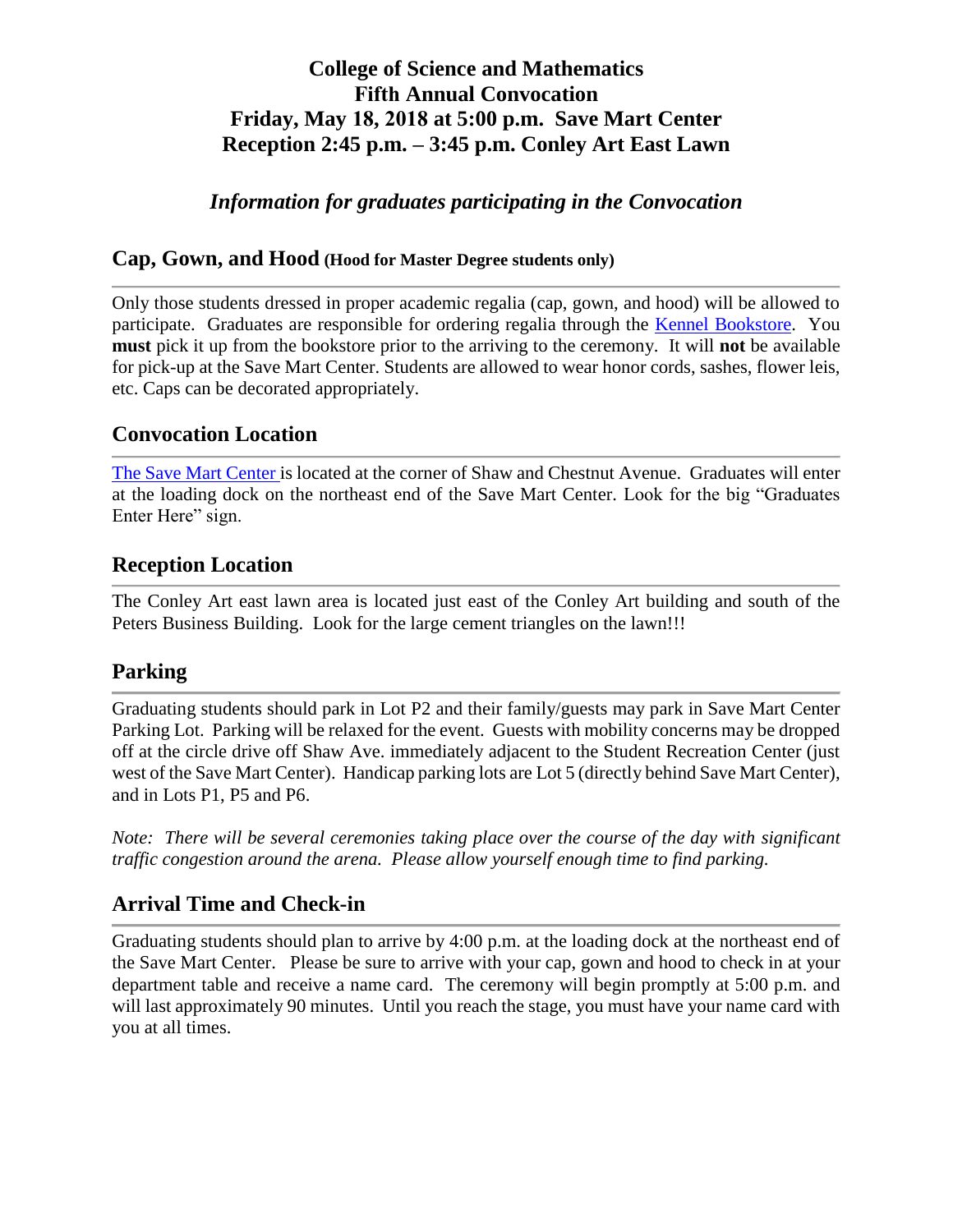# **College of Science and Mathematics Fifth Annual Convocation Friday, May 18, 2018 at 5:00 p.m. Save Mart Center Reception 2:45 p.m. – 3:45 p.m. Conley Art East Lawn**

*Information for graduates participating in the Convocation*

#### **Cap, Gown, and Hood (Hood for Master Degree students only)**

Only those students dressed in proper academic regalia (cap, gown, and hood) will be allowed to participate. Graduates are responsible for ordering regalia through the [Kennel Bookstore.](http://www.kennelbookstore.com/home.aspx) You **must** pick it up from the bookstore prior to the arriving to the ceremony. It will **not** be available for pick-up at the Save Mart Center. Students are allowed to wear honor cords, sashes, flower leis, etc. Caps can be decorated appropriately.

## **Convocation Location**

[The](http://www.fresnostate.edu/studentaffairs/studentinvolvement/usu/reservations/ssu.html) Save Mart Center is located at the corner of Shaw and Chestnut Avenue. Graduates will enter at the loading dock on the northeast end of the Save Mart Center. Look for the big "Graduates Enter Here" sign.

# **Reception Location**

The Conley Art east lawn area is located just east of the Conley Art building and south of the Peters Business Building. Look for the large cement triangles on the lawn!!!

### **Parking**

Graduating students should park in Lot P2 and their family/guests may park in Save Mart Center Parking Lot. Parking will be relaxed for the event. Guests with mobility concerns may be dropped off at the circle drive off Shaw Ave. immediately adjacent to the Student Recreation Center (just west of the Save Mart Center). Handicap parking lots are Lot 5 (directly behind Save Mart Center), and in Lots P1, P5 and P6.

*Note: There will be several ceremonies taking place over the course of the day with significant traffic congestion around the arena. Please allow yourself enough time to find parking.*

# **Arrival Time and Check-in**

Graduating students should plan to arrive by 4:00 p.m. at the loading dock at the northeast end of the Save Mart Center. Please be sure to arrive with your cap, gown and hood to check in at your department table and receive a name card. The ceremony will begin promptly at 5:00 p.m. and will last approximately 90 minutes. Until you reach the stage, you must have your name card with you at all times.